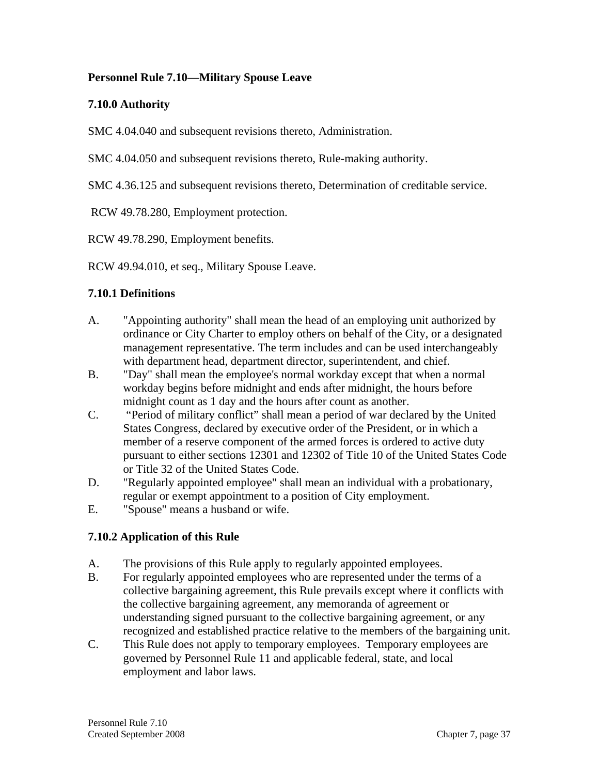### **Personnel Rule 7.10—Military Spouse Leave**

## **7.10.0 Authority**

SMC 4.04.040 and subsequent revisions thereto, Administration.

SMC 4.04.050 and subsequent revisions thereto, Rule-making authority.

SMC 4.36.125 and subsequent revisions thereto, Determination of creditable service.

RCW 49.78.280, Employment protection.

RCW 49.78.290, Employment benefits.

RCW 49.94.010, et seq., Military Spouse Leave.

## **7.10.1 Definitions**

- A. "Appointing authority" shall mean the head of an employing unit authorized by ordinance or City Charter to employ others on behalf of the City, or a designated management representative. The term includes and can be used interchangeably with department head, department director, superintendent, and chief.
- B. "Day" shall mean the employee's normal workday except that when a normal workday begins before midnight and ends after midnight, the hours before midnight count as 1 day and the hours after count as another.
- C. "Period of military conflict" shall mean a period of war declared by the United States Congress, declared by executive order of the President, or in which a member of a reserve component of the armed forces is ordered to active duty pursuant to either sections 12301 and 12302 of Title 10 of the United States Code or Title 32 of the United States Code.
- D. "Regularly appointed employee" shall mean an individual with a probationary, regular or exempt appointment to a position of City employment.
- E. "Spouse" means a husband or wife.

# **7.10.2 Application of this Rule**

- A. The provisions of this Rule apply to regularly appointed employees.
- B. For regularly appointed employees who are represented under the terms of a collective bargaining agreement, this Rule prevails except where it conflicts with the collective bargaining agreement, any memoranda of agreement or understanding signed pursuant to the collective bargaining agreement, or any recognized and established practice relative to the members of the bargaining unit.
- C. This Rule does not apply to temporary employees. Temporary employees are governed by Personnel Rule 11 and applicable federal, state, and local employment and labor laws.